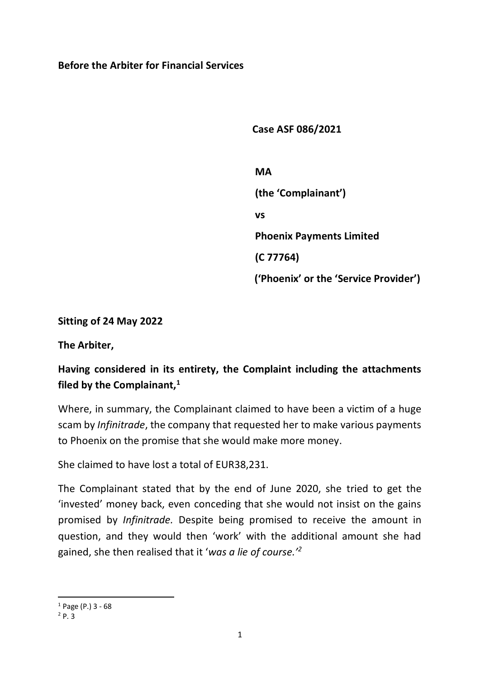#### **Before the Arbiter for Financial Services**

 **Case ASF 086/2021**

 **MA (the 'Complainant') vs Phoenix Payments Limited (C 77764) ('Phoenix' or the 'Service Provider')**

**Sitting of 24 May 2022**

**The Arbiter,**

# **Having considered in its entirety, the Complaint including the attachments filed by the Complainant,<sup>1</sup>**

Where, in summary, the Complainant claimed to have been a victim of a huge scam by *Infinitrade*, the company that requested her to make various payments to Phoenix on the promise that she would make more money.

She claimed to have lost a total of EUR38,231.

The Complainant stated that by the end of June 2020, she tried to get the 'invested' money back, even conceding that she would not insist on the gains promised by *Infinitrade.* Despite being promised to receive the amount in question, and they would then 'work' with the additional amount she had gained, she then realised that it '*was a lie of course.'<sup>2</sup>*

 $1$  Page (P.) 3 - 68

 $^{2}P.3$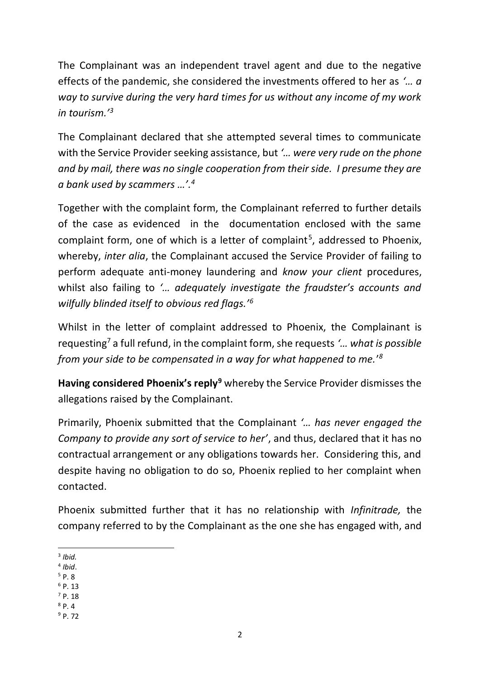The Complainant was an independent travel agent and due to the negative effects of the pandemic, she considered the investments offered to her as *'… a way to survive during the very hard times for us without any income of my work in tourism.'<sup>3</sup>*

The Complainant declared that she attempted several times to communicate with the Service Provider seeking assistance, but *'… were very rude on the phone and by mail, there was no single cooperation from their side. I presume they are a bank used by scammers …'. 4*

Together with the complaint form, the Complainant referred to further details of the case as evidenced in the documentation enclosed with the same complaint form, one of which is a letter of complaint<sup>5</sup>, addressed to Phoenix, whereby, *inter alia*, the Complainant accused the Service Provider of failing to perform adequate anti-money laundering and *know your client* procedures, whilst also failing to *'… adequately investigate the fraudster's accounts and wilfully blinded itself to obvious red flags.'<sup>6</sup>*

Whilst in the letter of complaint addressed to Phoenix, the Complainant is requesting<sup>7</sup> a full refund, in the complaint form, she requests *'… what is possible from your side to be compensated in a way for what happened to me.*' *8*

**Having considered Phoenix's reply<sup>9</sup>** whereby the Service Provider dismisses the allegations raised by the Complainant.

Primarily, Phoenix submitted that the Complainant *'… has never engaged the Company to provide any sort of service to her'*, and thus, declared that it has no contractual arrangement or any obligations towards her. Considering this, and despite having no obligation to do so, Phoenix replied to her complaint when contacted.

Phoenix submitted further that it has no relationship with *Infinitrade,* the company referred to by the Complainant as the one she has engaged with, and

- 4 *Ibid*.
- $5$  P. 8
- $6$  P. 13  $7$  P. 18
- $8p.4$
- <sup>9</sup> P. 72

<sup>3</sup> *Ibid.*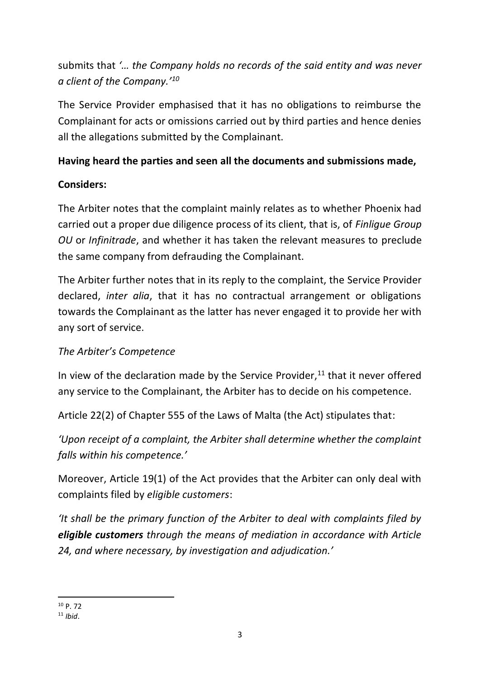submits that *'… the Company holds no records of the said entity and was never a client of the Company.'<sup>10</sup>* 

The Service Provider emphasised that it has no obligations to reimburse the Complainant for acts or omissions carried out by third parties and hence denies all the allegations submitted by the Complainant.

## **Having heard the parties and seen all the documents and submissions made,**

### **Considers:**

The Arbiter notes that the complaint mainly relates as to whether Phoenix had carried out a proper due diligence process of its client, that is, of *Finligue Group OU* or *Infinitrade*, and whether it has taken the relevant measures to preclude the same company from defrauding the Complainant.

The Arbiter further notes that in its reply to the complaint, the Service Provider declared, *inter alia*, that it has no contractual arrangement or obligations towards the Complainant as the latter has never engaged it to provide her with any sort of service.

# *The Arbiter's Competence*

In view of the declaration made by the Service Provider,<sup>11</sup> that it never offered any service to the Complainant, the Arbiter has to decide on his competence.

Article 22(2) of Chapter 555 of the Laws of Malta (the Act) stipulates that:

*'Upon receipt of a complaint, the Arbiter shall determine whether the complaint falls within his competence.'* 

Moreover, Article 19(1) of the Act provides that the Arbiter can only deal with complaints filed by *eligible customers*:

*'It shall be the primary function of the Arbiter to deal with complaints filed by eligible customers through the means of mediation in accordance with Article 24, and where necessary, by investigation and adjudication.'*

<sup>10</sup> p. 72

<sup>11</sup> *Ibid*.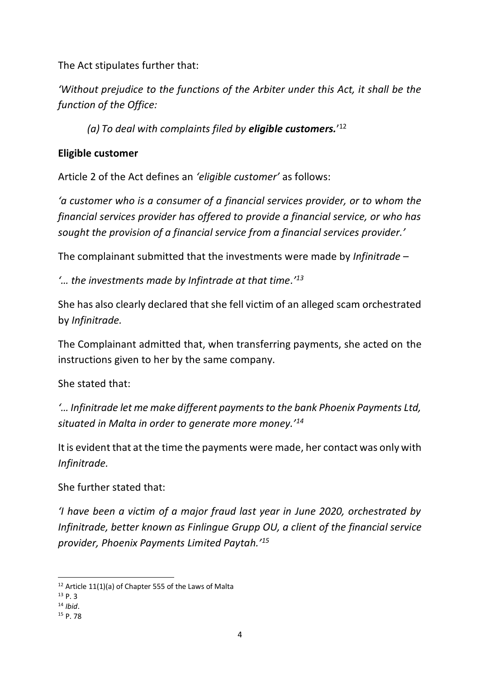The Act stipulates further that:

*'Without prejudice to the functions of the Arbiter under this Act, it shall be the function of the Office:*

*(a) To deal with complaints filed by eligible customers.*' 12

#### **Eligible customer**

Article 2 of the Act defines an *'eligible customer'* as follows:

*'a customer who is a consumer of a financial services provider, or to whom the financial services provider has offered to provide a financial service, or who has sought the provision of a financial service from a financial services provider.'*

The complainant submitted that the investments were made by *Infinitrade* –

*'… the investments made by Infintrade at that time.' 13* 

She has also clearly declared that she fell victim of an alleged scam orchestrated by *Infinitrade.* 

The Complainant admitted that, when transferring payments, she acted on the instructions given to her by the same company.

She stated that:

*'… Infinitrade let me make different payments to the bank Phoenix Payments Ltd, situated in Malta in order to generate more money.'<sup>14</sup>* 

It is evident that at the time the payments were made, her contact was only with *Infinitrade.* 

She further stated that:

*'I have been a victim of a major fraud last year in June 2020, orchestrated by Infinitrade, better known as Finlingue Grupp OU, a client of the financial service provider, Phoenix Payments Limited Paytah.'<sup>15</sup>*

 $12$  Article 11(1)(a) of Chapter 555 of the Laws of Malta

<sup>13</sup> P. 3

<sup>14</sup> *Ibid*.

<sup>15</sup> P. 78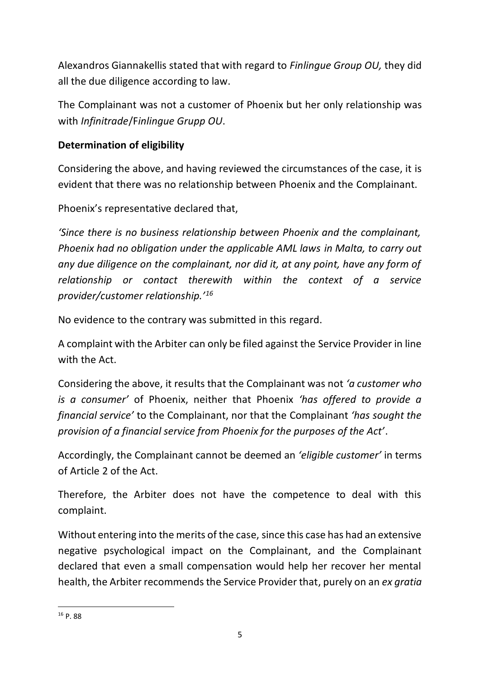Alexandros Giannakellis stated that with regard to *Finlingue Group OU,* they did all the due diligence according to law.

The Complainant was not a customer of Phoenix but her only relationship was with *Infinitrade*/F*inlingue Grupp OU*.

#### **Determination of eligibility**

Considering the above, and having reviewed the circumstances of the case, it is evident that there was no relationship between Phoenix and the Complainant.

Phoenix's representative declared that,

*'Since there is no business relationship between Phoenix and the complainant, Phoenix had no obligation under the applicable AML laws in Malta, to carry out any due diligence on the complainant, nor did it, at any point, have any form of relationship or contact therewith within the context of a service provider/customer relationship.'<sup>16</sup>*

No evidence to the contrary was submitted in this regard.

A complaint with the Arbiter can only be filed against the Service Provider in line with the Act.

Considering the above, it results that the Complainant was not *'a customer who is a consumer'* of Phoenix, neither that Phoenix *'has offered to provide a financial service'* to the Complainant, nor that the Complainant *'has sought the provision of a financial service from Phoenix for the purposes of the Act'*.

Accordingly, the Complainant cannot be deemed an *'eligible customer'* in terms of Article 2 of the Act.

Therefore, the Arbiter does not have the competence to deal with this complaint.

Without entering into the merits of the case, since this case has had an extensive negative psychological impact on the Complainant, and the Complainant declared that even a small compensation would help her recover her mental health, the Arbiter recommends the Service Provider that, purely on an *ex gratia*

<sup>16</sup> P. 88